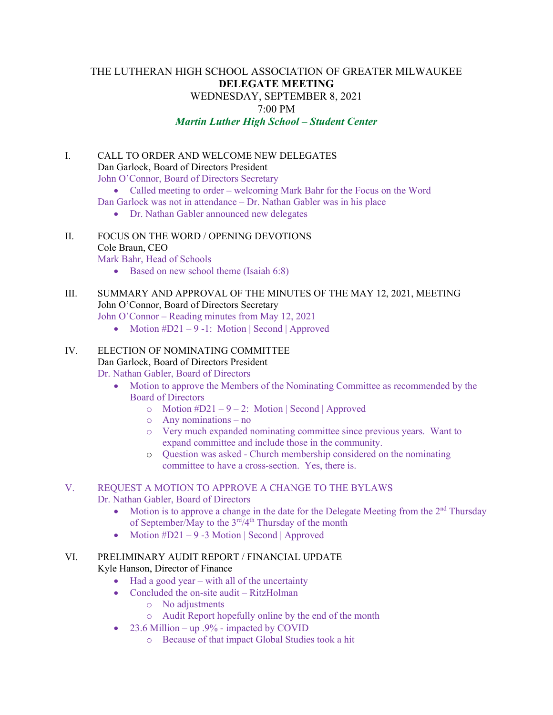# THE LUTHERAN HIGH SCHOOL ASSOCIATION OF GREATER MILWAUKEE **DELEGATE MEETING** WEDNESDAY, SEPTEMBER 8, 2021 7:00 PM *Martin Luther High School – Student Center*

I. CALL TO ORDER AND WELCOME NEW DELEGATES Dan Garlock, Board of Directors President John O'Connor, Board of Directors Secretary • Called meeting to order – welcoming Mark Bahr for the Focus on the Word Dan Garlock was not in attendance – Dr. Nathan Gabler was in his place

- Dr. Nathan Gabler announced new delegates
- II. FOCUS ON THE WORD / OPENING DEVOTIONS Cole Braun, CEO

Mark Bahr, Head of Schools

- Based on new school theme (Isaiah 6:8)
- III. SUMMARY AND APPROVAL OF THE MINUTES OF THE MAY 12, 2021, MEETING John O'Connor, Board of Directors Secretary

John O'Connor – Reading minutes from May 12, 2021

• Motion  $#D21 - 9 -1$ : Motion | Second | Approved

## IV. ELECTION OF NOMINATING COMMITTEE

# Dan Garlock, Board of Directors President

Dr. Nathan Gabler, Board of Directors

- Motion to approve the Members of the Nominating Committee as recommended by the Board of Directors
	- $\circ$  Motion #D21 9 2: Motion | Second | Approved
	- o Any nominations no
	- o Very much expanded nominating committee since previous years. Want to expand committee and include those in the community.
	- o Question was asked Church membership considered on the nominating committee to have a cross-section. Yes, there is.

# V. REQUEST A MOTION TO APPROVE A CHANGE TO THE BYLAWS

Dr. Nathan Gabler, Board of Directors

- Motion is to approve a change in the date for the Delegate Meeting from the  $2<sup>nd</sup>$  Thursday of September/May to the  $3<sup>rd</sup>/4<sup>th</sup>$  Thursday of the month
- Motion  $#D21 9 3$  Motion | Second | Approved

# VI. PRELIMINARY AUDIT REPORT / FINANCIAL UPDATE

Kyle Hanson, Director of Finance

- Had a good year with all of the uncertainty
- Concluded the on-site audit RitzHolman
	- o No adjustments
		- o Audit Report hopefully online by the end of the month
- 23.6 Million up .9% impacted by COVID
	- o Because of that impact Global Studies took a hit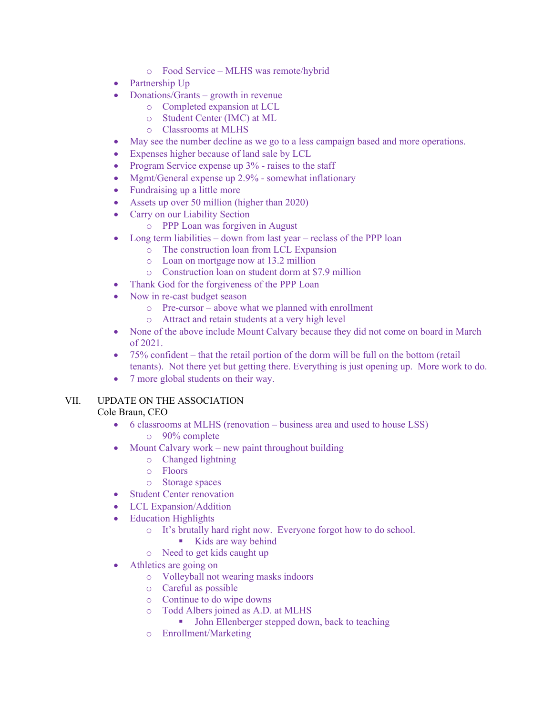- o Food Service MLHS was remote/hybrid
- Partnership Up
- Donations/Grants growth in revenue
	- o Completed expansion at LCL
	- o Student Center (IMC) at ML
	- o Classrooms at MLHS
- May see the number decline as we go to a less campaign based and more operations.
- Expenses higher because of land sale by LCL
- Program Service expense up 3% raises to the staff
- Mgmt/General expense up 2.9% somewhat inflationary
- Fundraising up a little more
- Assets up over 50 million (higher than 2020)
- Carry on our Liability Section
	- o PPP Loan was forgiven in August
- Long term liabilities down from last year reclass of the PPP loan
	- o The construction loan from LCL Expansion
	- $\circ$  Loan on mortgage now at 13.2 million  $\circ$  Construction loan on student dorm at \$
	- Construction loan on student dorm at \$7.9 million
- Thank God for the forgiveness of the PPP Loan
- Now in re-cast budget season
	- o Pre-cursor above what we planned with enrollment
	- o Attract and retain students at a very high level
- None of the above include Mount Calvary because they did not come on board in March of 2021.
- 75% confident that the retail portion of the dorm will be full on the bottom (retail tenants). Not there yet but getting there. Everything is just opening up. More work to do.
- 7 more global students on their way.

### VII. UPDATE ON THE ASSOCIATION Cole Braun, CEO

- 6 classrooms at MLHS (renovation business area and used to house LSS) o 90% complete
- Mount Calvary work new paint throughout building
	- o Changed lightning
	- o Floors
	- o Storage spaces
- Student Center renovation
- LCL Expansion/Addition
- Education Highlights
	- o It's brutally hard right now. Everyone forgot how to do school.
		- Kids are way behind
	- o Need to get kids caught up
- Athletics are going on
	- o Volleyball not wearing masks indoors
	- o Careful as possible
	- o Continue to do wipe downs
	- o Todd Albers joined as A.D. at MLHS
		- John Ellenberger stepped down, back to teaching
	- o Enrollment/Marketing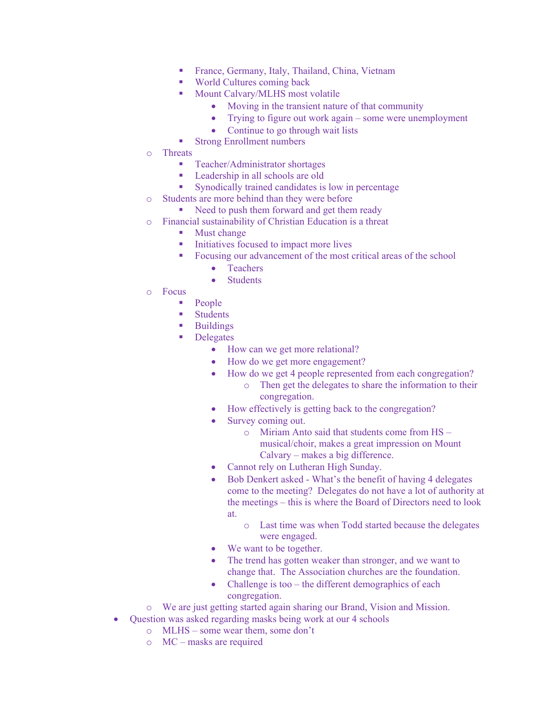- **France, Germany, Italy, Thailand, China, Vietnam**
- World Cultures coming back
- Mount Calvary/MLHS most volatile
	- Moving in the transient nature of that community
	- Trying to figure out work again some were unemployment
	- Continue to go through wait lists
- **Strong Enrollment numbers**
- o Threats
	- **Teacher/Administrator shortages**
	- **Leadership in all schools are old**
	- **Synodically trained candidates is low in percentage**
- o Students are more behind than they were before
	- Need to push them forward and get them ready
- o Financial sustainability of Christian Education is a threat
	- Must change
		- Initiatives focused to impact more lives
		- Focusing our advancement of the most critical areas of the school
			- Teachers
			- **Students**
- o Focus
	- People
	- **Students**
	- **Buildings**
	- **Delegates** 
		- How can we get more relational?
		- How do we get more engagement?
		- How do we get 4 people represented from each congregation?
			- o Then get the delegates to share the information to their congregation.
		- How effectively is getting back to the congregation?
		- Survey coming out.
			- o Miriam Anto said that students come from HS musical/choir, makes a great impression on Mount Calvary – makes a big difference.
		- Cannot rely on Lutheran High Sunday.
		- Bob Denkert asked What's the benefit of having 4 delegates come to the meeting? Delegates do not have a lot of authority at the meetings – this is where the Board of Directors need to look at.
			- o Last time was when Todd started because the delegates were engaged.
		- We want to be together.
		- The trend has gotten weaker than stronger, and we want to change that. The Association churches are the foundation.
		- Challenge is too  $-$  the different demographics of each congregation.
- o We are just getting started again sharing our Brand, Vision and Mission.
- Question was asked regarding masks being work at our 4 schools
	- o MLHS some wear them, some don't
	- o MC masks are required